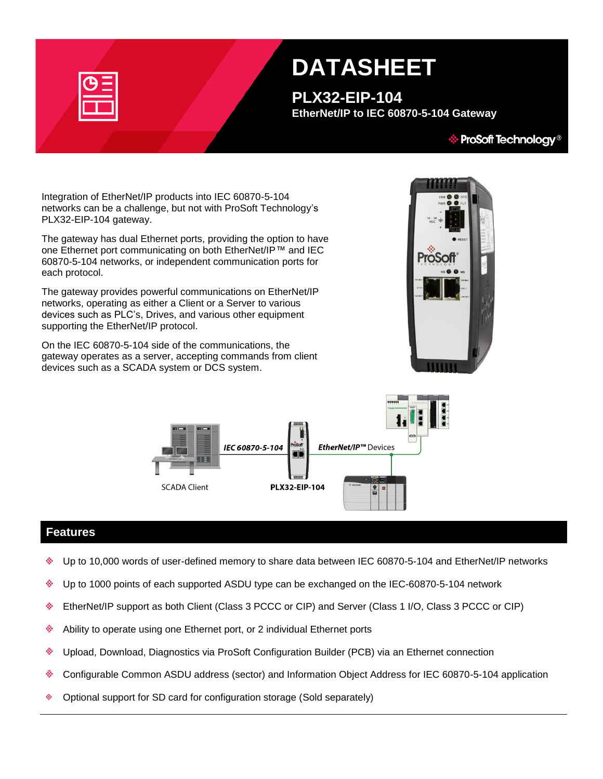| --                                                                         |
|----------------------------------------------------------------------------|
| the control of the control of the control of the control of the control of |

# **DATASHEET**

**PLX32-EIP-104 EtherNet/IP to IEC 60870-5-104 Gateway**

#### $\hat{\mathcal{C}}$  ProSoft Technology®

Integration of EtherNet/IP products into IEC 60870-5-104 networks can be a challenge, but not with ProSoft Technology's PLX32-EIP-104 gateway.

The gateway has dual Ethernet ports, providing the option to have one Ethernet port communicating on both EtherNet/IP™ and IEC 60870-5-104 networks, or independent communication ports for each protocol.

The gateway provides powerful communications on EtherNet/IP networks, operating as either a Client or a Server to various devices such as PLC's, Drives, and various other equipment supporting the EtherNet/IP protocol.

On the IEC 60870-5-104 side of the communications, the gateway operates as a server, accepting commands from client devices such as a SCADA system or DCS system.





### **Features**

- Up to 10,000 words of user-defined memory to share data between IEC 60870-5-104 and EtherNet/IP networks
- Up to 1000 points of each supported ASDU type can be exchanged on the IEC-60870-5-104 network ٨
- EtherNet/IP support as both Client (Class 3 PCCC or CIP) and Server (Class 1 I/O, Class 3 PCCC or CIP) alian.
- ٠ Ability to operate using one Ethernet port, or 2 individual Ethernet ports
- ٤ Upload, Download, Diagnostics via ProSoft Configuration Builder (PCB) via an Ethernet connection
- Configurable Common ASDU address (sector) and Information Object Address for IEC 60870-5-104 application ٠
- ŵ. Optional support for SD card for configuration storage (Sold separately)